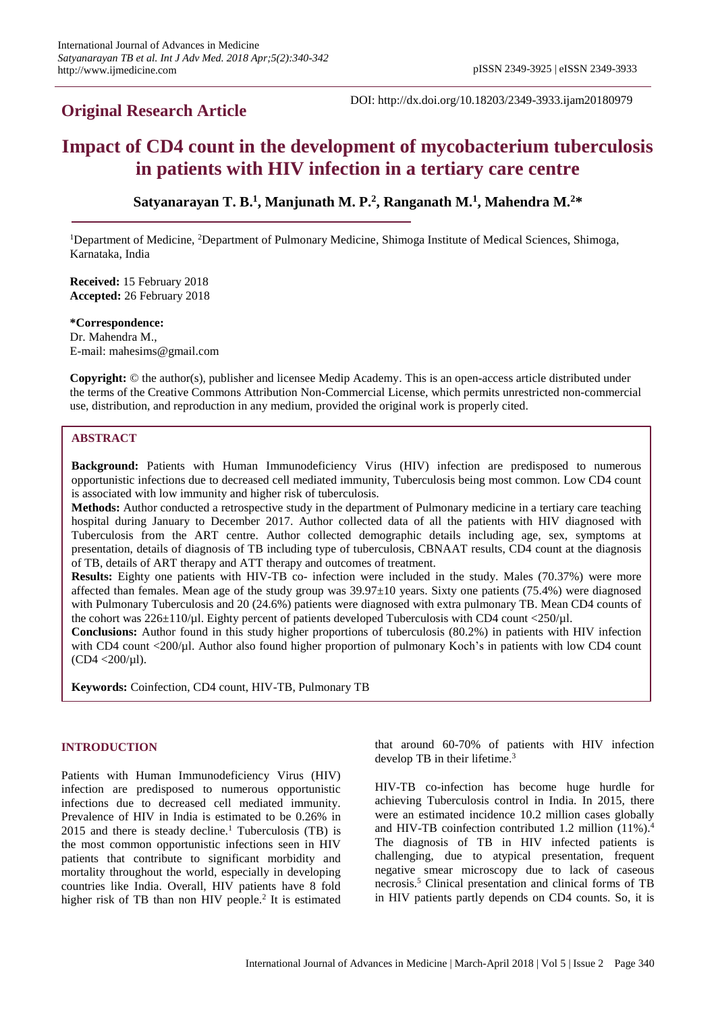# **Original Research Article**

DOI: http://dx.doi.org/10.18203/2349-3933.ijam20180979

# **Impact of CD4 count in the development of mycobacterium tuberculosis in patients with HIV infection in a tertiary care centre**

**Satyanarayan T. B. 1 , Manjunath M. P. 2 , Ranganath M. 1 , Mahendra M. 2\***

<sup>1</sup>Department of Medicine, <sup>2</sup>Department of Pulmonary Medicine, Shimoga Institute of Medical Sciences, Shimoga, Karnataka, India

**Received:** 15 February 2018 **Accepted:** 26 February 2018

**\*Correspondence:** Dr. Mahendra M., E-mail: mahesims@gmail.com

**Copyright:** © the author(s), publisher and licensee Medip Academy. This is an open-access article distributed under the terms of the Creative Commons Attribution Non-Commercial License, which permits unrestricted non-commercial use, distribution, and reproduction in any medium, provided the original work is properly cited.

# **ABSTRACT**

**Background:** Patients with Human Immunodeficiency Virus (HIV) infection are predisposed to numerous opportunistic infections due to decreased cell mediated immunity, Tuberculosis being most common. Low CD4 count is associated with low immunity and higher risk of tuberculosis.

**Methods:** Author conducted a retrospective study in the department of Pulmonary medicine in a tertiary care teaching hospital during January to December 2017. Author collected data of all the patients with HIV diagnosed with Tuberculosis from the ART centre. Author collected demographic details including age, sex, symptoms at presentation, details of diagnosis of TB including type of tuberculosis, CBNAAT results, CD4 count at the diagnosis of TB, details of ART therapy and ATT therapy and outcomes of treatment.

**Results:** Eighty one patients with HIV-TB co- infection were included in the study. Males (70.37%) were more affected than females. Mean age of the study group was  $39.97\pm10$  years. Sixty one patients (75.4%) were diagnosed with Pulmonary Tuberculosis and 20 (24.6%) patients were diagnosed with extra pulmonary TB. Mean CD4 counts of the cohort was 226±110/µl. Eighty percent of patients developed Tuberculosis with CD4 count <250/µl.

**Conclusions:** Author found in this study higher proportions of tuberculosis (80.2%) in patients with HIV infection with CD4 count <200/µl. Author also found higher proportion of pulmonary Koch's in patients with low CD4 count  $(CD4 < 200/\mu l)$ .

**Keywords:** Coinfection, CD4 count, HIV-TB, Pulmonary TB

# **INTRODUCTION**

Patients with Human Immunodeficiency Virus (HIV) infection are predisposed to numerous opportunistic infections due to decreased cell mediated immunity. Prevalence of HIV in India is estimated to be 0.26% in  $2015$  and there is steady decline.<sup>1</sup> Tuberculosis (TB) is the most common opportunistic infections seen in HIV patients that contribute to significant morbidity and mortality throughout the world, especially in developing countries like India. Overall, HIV patients have 8 fold higher risk of TB than non HIV people.<sup>2</sup> It is estimated

that around 60-70% of patients with HIV infection develop TB in their lifetime.<sup>3</sup>

HIV-TB co-infection has become huge hurdle for achieving Tuberculosis control in India. In 2015, there were an estimated incidence 10.2 million cases globally and HIV-TB coinfection contributed 1.2 million (11%).<sup>4</sup> The diagnosis of TB in HIV infected patients is challenging, due to atypical presentation, frequent negative smear microscopy due to lack of caseous necrosis.<sup>5</sup> Clinical presentation and clinical forms of TB in HIV patients partly depends on CD4 counts. So, it is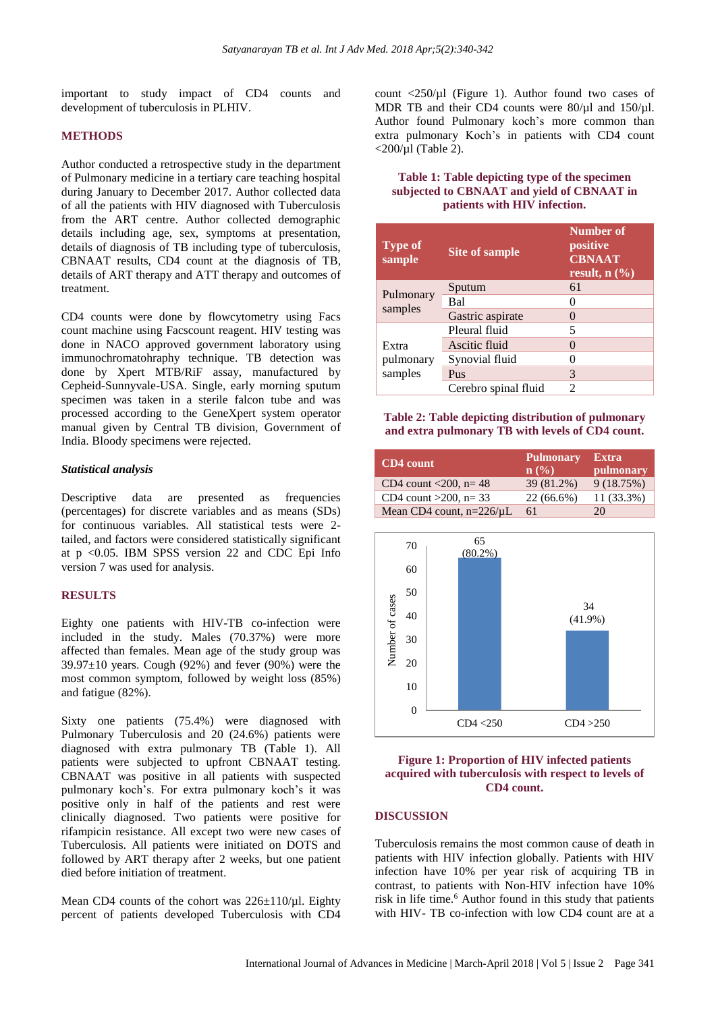important to study impact of CD4 counts and development of tuberculosis in PLHIV.

#### **METHODS**

Author conducted a retrospective study in the department of Pulmonary medicine in a tertiary care teaching hospital during January to December 2017. Author collected data of all the patients with HIV diagnosed with Tuberculosis from the ART centre. Author collected demographic details including age, sex, symptoms at presentation, details of diagnosis of TB including type of tuberculosis, CBNAAT results, CD4 count at the diagnosis of TB, details of ART therapy and ATT therapy and outcomes of treatment.

CD4 counts were done by flowcytometry using Facs count machine using Facscount reagent. HIV testing was done in NACO approved government laboratory using immunochromatohraphy technique. TB detection was done by Xpert MTB/RiF assay, manufactured by Cepheid-Sunnyvale-USA. Single, early morning sputum specimen was taken in a sterile falcon tube and was processed according to the GeneXpert system operator manual given by Central TB division, Government of India. Bloody specimens were rejected.

#### *Statistical analysis*

Descriptive data are presented as frequencies (percentages) for discrete variables and as means (SDs) for continuous variables. All statistical tests were 2 tailed, and factors were considered statistically significant at p <0.05. IBM SPSS version 22 and CDC Epi Info version 7 was used for analysis.

#### **RESULTS**

Eighty one patients with HIV-TB co-infection were included in the study. Males (70.37%) were more affected than females. Mean age of the study group was  $39.97\pm10$  years. Cough (92%) and fever (90%) were the most common symptom, followed by weight loss (85%) and fatigue (82%).

Sixty one patients (75.4%) were diagnosed with Pulmonary Tuberculosis and 20 (24.6%) patients were diagnosed with extra pulmonary TB (Table 1). All patients were subjected to upfront CBNAAT testing. CBNAAT was positive in all patients with suspected pulmonary koch's. For extra pulmonary koch's it was positive only in half of the patients and rest were clinically diagnosed. Two patients were positive for rifampicin resistance. All except two were new cases of Tuberculosis. All patients were initiated on DOTS and followed by ART therapy after 2 weeks, but one patient died before initiation of treatment.

Mean CD4 counts of the cohort was  $226\pm110/\mu$ l. Eighty percent of patients developed Tuberculosis with CD4 count  $\langle 250/\mu l \rangle$  (Figure 1). Author found two cases of MDR TB and their CD4 counts were  $80/\mu$ l and  $150/\mu$ l. Author found Pulmonary koch's more common than extra pulmonary Koch's in patients with CD4 count  $\langle 200/\mu 1 \rangle$  (Table 2).

### **Table 1: Table depicting type of the specimen subjected to CBNAAT and yield of CBNAAT in patients with HIV infection.**

| <b>Type of</b><br>sample      | <b>Site of sample</b> | Number of<br>positive<br><b>CBNAAT</b><br>result, $n$ $(\% )$ |
|-------------------------------|-----------------------|---------------------------------------------------------------|
| Pulmonary<br>samples          | Sputum                | 61                                                            |
|                               | Bal                   |                                                               |
|                               | Gastric aspirate      |                                                               |
| Extra<br>pulmonary<br>samples | Pleural fluid         | 5                                                             |
|                               | Ascitic fluid         |                                                               |
|                               | Synovial fluid        |                                                               |
|                               | Pus                   | 3                                                             |
|                               | Cerebro spinal fluid  | 2                                                             |

#### **Table 2: Table depicting distribution of pulmonary and extra pulmonary TB with levels of CD4 count.**

| <b>CD4</b> count              | <b>Pulmonary</b><br>n(%) | <b>Extra</b><br>pulmonary |
|-------------------------------|--------------------------|---------------------------|
| CD4 count $< 200$ , n= 48     | 39 (81.2%)               | 9(18.75%)                 |
| CD4 count $>200$ , n= 33      | 22 (66.6%)               | 11 (33.3%)                |
| Mean CD4 count, $n=226/\mu L$ | 61                       | 20                        |



# **Figure 1: Proportion of HIV infected patients acquired with tuberculosis with respect to levels of CD4 count.**

#### **DISCUSSION**

Tuberculosis remains the most common cause of death in patients with HIV infection globally. Patients with HIV infection have 10% per year risk of acquiring TB in contrast, to patients with Non-HIV infection have 10% risk in life time.<sup>6</sup> Author found in this study that patients with HIV- TB co-infection with low CD4 count are at a